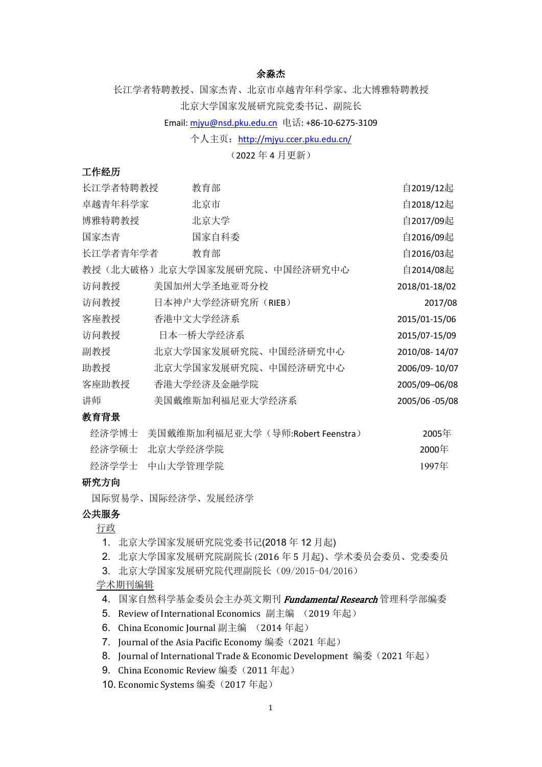#### 余淼杰

长江学者特聘教授、国家杰青、北京市卓越青年科学家、北大博雅特聘教授 北京大学国家发展研究院党委书记、副院长

#### Email: [mjyu@nsd.pku.edu.cn](mailto:mjyu@nsd.pku.edu.cn) 电话: +86-10-6275-3109

#### 个人主页:<http://mjyu.ccer.pku.edu.cn/>

# (2022 年 4 月更新)

#### 工作经历

| 长江学者特聘教授 | 教育部               |                              | 自2019/12起      |
|----------|-------------------|------------------------------|----------------|
| 卓越青年科学家  | 北京市               |                              | 自2018/12起      |
| 博雅特聘教授   | 北京大学              |                              | 自2017/09起      |
| 国家杰青     | 国家自科委             |                              | 自2016/09起      |
| 长江学者青年学者 | 教育部               |                              | 自2016/03起      |
|          |                   | 教授(北大破格)北京大学国家发展研究院、中国经济研究中心 | 自2014/08起      |
| 访问教授     | 美国加州大学圣地亚哥分校      |                              | 2018/01-18/02  |
| 访问教授     | 日本神户大学经济研究所(RIEB) |                              | 2017/08        |
| 客座教授     | 香港中文大学经济系         |                              | 2015/01-15/06  |
| 访问教授     | 日本一桥大学经济系         |                              | 2015/07-15/09  |
| 副教授      |                   | 北京大学国家发展研究院、中国经济研究中心         | 2010/08-14/07  |
| 助教授      |                   | 北京大学国家发展研究院、中国经济研究中心         | 2006/09-10/07  |
| 客座助教授    | 香港大学经济及金融学院       |                              | 2005/09-06/08  |
| 讲师       | 美国戴维斯加利福尼亚大学经济系   |                              | 2005/06 -05/08 |
| 教育背景     |                   |                              |                |

# 经济学博士 美国戴维斯加利福尼亚大学 (导师:Robert Feenstra) 2005年

| $\sim$ 1 $\sim$ 1 $\sim$ 1 $\sim$ 1 $\sim$ 1 $\sim$ 1 $\sim$ 1 $\sim$ 1 $\sim$ 1 $\sim$ 1 $\sim$ 1 $\sim$ 1 $\sim$ 1 $\sim$ 1 $\sim$ 1 $\sim$ 1 $\sim$ 1 $\sim$ 1 $\sim$ 1 $\sim$ 1 $\sim$ 1 $\sim$ 1 $\sim$ 1 $\sim$ 1 $\sim$ 1 $\sim$ 1 $\sim$ 1 $\sim$ 1 $\sim$ 1 $\sim$ 1 $\sim$ 1 $\sim$ | ----  |
|-----------------------------------------------------------------------------------------------------------------------------------------------------------------------------------------------------------------------------------------------------------------------------------------------|-------|
| 经济学硕士 北京大学经济学院                                                                                                                                                                                                                                                                                | 2000年 |
| 经济学学士 中山大学管理学院                                                                                                                                                                                                                                                                                | 1997年 |

# 研究方向

国际贸易学、国际经济学、发展经济学

# 公共服务

行政

- 1. 北京大学国家发展研究院党委书记(2018 年 12 月起)
- 2. 北京大学国家发展研究院副院长(2016 年 5 月起)、学术委员会委员、党委委员
- 3. 北京大学国家发展研究院代理副院长(09/2015-04/2016)

#### 学术期刊编辑

- 4. 国家自然科学基金委员会主办英文期刊 Fundamental Research 管理科学部编委
- 5. Review of International Economics 副主编 (2019 年起)
- 6. China Economic Journal 副主编 (2014 年起)
- 7. [Journal of the Asia Pacific Economy](https://www.tandfonline.com/toc/rjap20/current) 编委(2021年起)
- 8. Journal of International Trade & Economic Development 编委(2021年起)
- 9. China Economic Review 编委 (2011年起)
- 10. Economic Systems 编委(2017年起)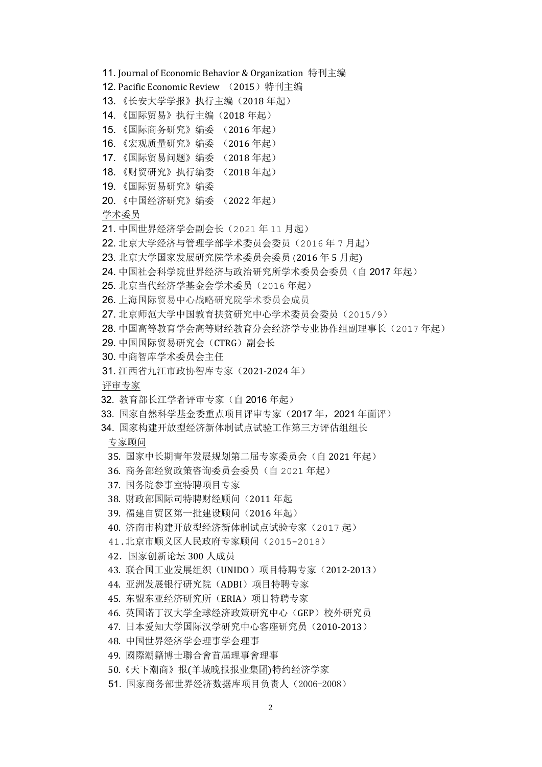11. Journal of Economic Behavior & Organization 特刊主编

- 12. Pacific Economic Review (2015)特刊主编
- 13. 《长安大学学报》执行主编(2018 年起)
- 14. 《国际贸易》执行主编(2018 年起)
- 15. 《国际商务研究》编委 (2016 年起)
- 16. 《宏观质量研究》编委 (2016 年起)
- 17. 《国际贸易问题》编委 (2018 年起)
- 18. 《财贸研究》执行编委 (2018 年起)
- 19. 《国际贸易研究》编委
- 20. 《中国经济研究》编委 (2022 年起)

学术委员

- 21. 中国世界经济学会副会长(2021 年 11 月起)
- 22. 北京大学经济与管理学部学术委员会委员(2016 年 7 月起)
- 23. 北京大学国家发展研究院学术委员会委员(2016 年 5 月起)
- 24. 中国社会科学院世界经济与政治研究所学术委员会委员(自 2017 年起)
- 25. 北京当代经济学基金会学术委员(2016 年起)
- 26. 上海国际贸易中心战略研究院学术委员会成员
- 27. 北京师范大学中国教育扶贫研究中心学术委员会委员(2015/9)
- 28. 中国高等教育学会高等财经教育分会经济学专业协作组副理事长(2017 年起)
- 29. 中国国际贸易研究会(CTRG)副会长
- 30. 中商智库学术委员会主任
- 31. 江西省九江市政协智库专家(2021-2024 年)

评审专家

- 32. 教育部长江学者评审专家(自 2016 年起)
- 33. 国家自然科学基金委重点项目评审专家(2017 年,2021 年面评)
- 34. 国家构建开放型经济新体制试点试验工作第三方评估组组长

#### 专家顾问

- 35. 国家中长期青年发展规划第二届专家委员会(自 2021 年起)
- 36. 商务部经贸政策咨询委员会委员(自 2021 年起)
- 37. 国务院参事室特聘项目专家
- 38. 财政部国际司特聘财经顾问(2011 年起
- 39. 福建自贸区第一批建设顾问(2016 年起)
- 40. 济南市构建开放型经济新体制试点试验专家(2017 起)
- 41.北京市顺义区人民政府专家顾问(2015-2018)
- 42.国家创新论坛 300 人成员
- 43. 联合国工业发展组织(UNIDO)项目特聘专家(2012-2013)
- 44. 亚洲发展银行研究院(ADBI)项目特聘专家
- 45. 东盟东亚经济研究所(ERIA)项目特聘专家
- 46. 英国诺丁汉大学全球经济政策研究中心(GEP)校外研究员
- 47. 日本爱知大学国际汉学研究中心客座研究员(2010-2013)
- 48. 中国世界经济学会理事学会理事
- 49. 國際潮籍博士聯合會首屆理事會理事
- 50.《天下潮商》报(羊城晚报报业集团)特约经济学家
- 51. 国家商务部世界经济数据库项目负责人(2006-2008)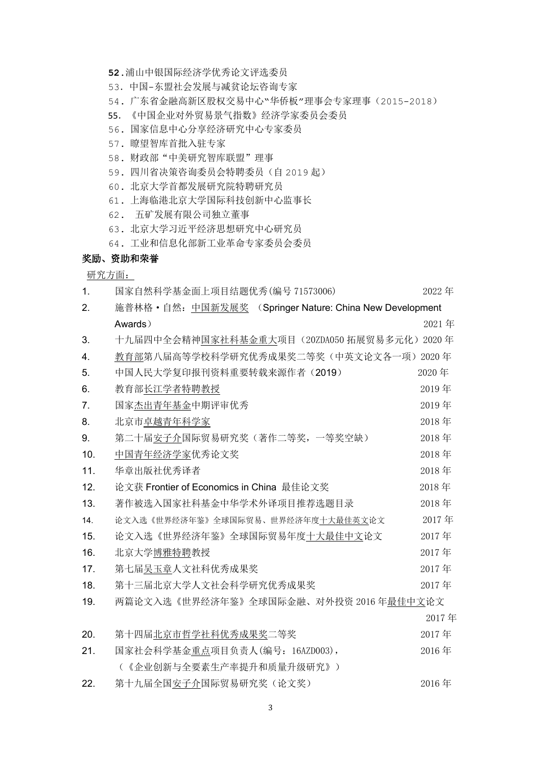- **52.**浦山中银国际经济学优秀论文评选委员
- 53.中国-东盟社会发展与减贫论坛咨询专家
- 54. 广东省金融高新区股权交易中心"华侨板"理事会专家理事(2015-2018)
- 55.《中国企业对外贸易景气指数》经济学家委员会委员
- 56. 国家信息中心分享经济研究中心专家委员
- 57. 瞭望智库首批入驻专家
- 58. 财政部"中美研究智库联盟"理事
- 59. 四川省决策咨询委员会特聘委员(自 2019 起)
- 60. 北京大学首都发展研究院特聘研究员
- 61. 上海临港北京大学国际科技创新中心监事长
- 62. 五矿发展有限公司独立董事
- 63. 北京大学习近平经济思想研究中心研究员
- 64. 工业和信息化部新工业革命专家委员会委员

#### 奖励、资助和荣誉

研究方面:

1. 国家自然科学基金面上项目结题优秀(编号 71573006) 2022 年 2. 施普林格·自然:中国新发展奖 (Springer Nature: China New Development **Awards** ) and the contraction of the contraction of  $2021 \ncong$ 3. 十九届四中全会精神国家社科基金重大项目 (20ZDA050 拓展贸易多元化) 2020 年 4. 教育部第八届高等学校科学研究优秀成果奖二等奖(中英文论文各一项) 2020 年 5. 中国人民大学复印报刊资料重要转载来源作者(2019) 2020 年 6. 教育部长江学者特聘教授 2019年 7. 国家杰出青年基金中期评审优秀 2019年 2019年 8. 北京市卓越青年科学家 2018年 - 2018年 - 2018年 - 2018年 - 2018年 - 2018年 - 2018年 - 2018年 - 2018年 - 2018年 - 2018年 - 2018年 - 2018年 - 2018年 - 2018年 - 2018年 - 2018年 - 2018年 - 2018年 - 2018年 - 2018年 - 2018年 - 2018年 - 2018年 - 2018年 - 2018年 - 9. 第二十届安子介国际贸易研究奖(著作二等奖,一等奖空缺) 2018 年 10. 中国青年经济学家优秀论文奖 2018 年 11. 华章出版社优秀译者 2018 年 12. 论文获 Frontier of Economics in China 最佳论文奖 2018 年 13. 著作被选入国家社科基金中华学术外译项目推荐选题目录 2018 年 14. 论文入选《世界经济年鉴》全球国际贸易、世界经济年度十大最佳英文论文 2017 年 15. 论文入选《世界经济年鉴》全球国际贸易年度十大最佳中文论文 2017 年 16. 北京大学博雅特聘教授 2017 年 17. 第七届吴玉章人文社科优秀成果奖 2017 年 2017 年 18. 第十三届北京大学人文社会科学研究优秀成果奖 2017 年 19. 两篇论文入选《世界经济年鉴》全球国际金融、对外投资 2016 年最佳中文论文 2017 年 20. 第十四届北京市哲学社科优秀成果奖二等奖 2017 年 21. 国家社会科学基金重点项目负责人(编号:16AZD003), 2016 年 (《企业创新与全要素生产率提升和质量升级研究》) 22. 第十九届全国安子介国际贸易研究奖(论文奖) 2016 年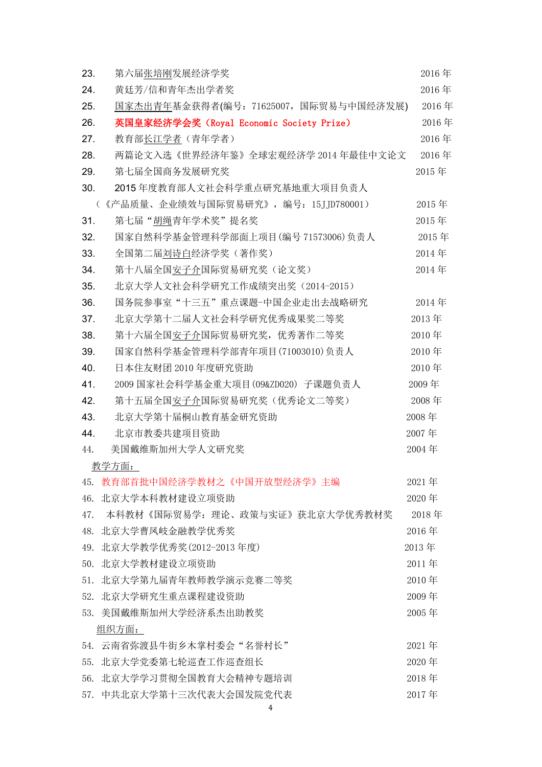| 第六届张培刚发展经济学奖<br>23.                             | 2016年 |
|-------------------------------------------------|-------|
| 24.<br>黄廷芳/信和青年杰出学者奖                            | 2016年 |
| 国家杰出青年基金获得者(编号: 71625007,国际贸易与中国经济发展)<br>25.    | 2016年 |
| 26.<br>英国皇家经济学会奖 (Royal Economic Society Prize) | 2016年 |
| 教育部长江学者 (青年学者)<br>27.                           | 2016年 |
| 28.<br>两篇论文入选《世界经济年鉴》全球宏观经济学 2014 年最佳中文论文       | 2016年 |
| 第七届全国商务发展研究奖<br>29.                             | 2015年 |
| 30.<br>2015年度教育部人文社会科学重点研究基地重大项目负责人             |       |
| (《产品质量、企业绩效与国际贸易研究》, 编号: 15JJD780001)           | 2015年 |
| 31.<br>第七届"胡绳青年学术奖"提名奖                          | 2015年 |
| 国家自然科学基金管理科学部面上项目(编号 71573006)负责人<br>32.        | 2015年 |
| 33.<br>全国第二届刘诗白经济学奖(著作奖)                        | 2014年 |
| 第十八届全国安子介国际贸易研究奖 (论文奖)<br>34.                   | 2014年 |
| 35.<br>北京大学人文社会科学研究工作成绩突出奖 (2014-2015)          |       |
| 国务院参事室"十三五"重点课题-中国企业走出去战略研究<br>36.              | 2014年 |
| 37.<br>北京大学第十二届人文社会科学研究优秀成果奖二等奖                 | 2013年 |
| 第十六届全国安子介国际贸易研究奖, 优秀著作二等奖<br>38.                | 2010年 |
| 39.<br>国家自然科学基金管理科学部青年项目(71003010)负责人           | 2010年 |
| 40.<br>日本住友财团 2010 年度研究资助                       | 2010年 |
| 41.<br>2009 国家社会科学基金重大项目(09&ZD020) 子课题负责人       | 2009年 |
| 42.<br>第十五届全国安子介国际贸易研究奖(优秀论文二等奖)                | 2008年 |
| 43.<br>北京大学第十届桐山教育基金研究资助                        | 2008年 |
| 44.<br>北京市教委共建项目资助                              | 2007年 |
| 美国戴维斯加州大学人文研究奖<br>44.                           | 2004年 |
| 教学方面:                                           |       |
| 教育部首批中国经济学教材之《中国开放型经济学》主编<br>45.                | 2021年 |
| 北京大学本科教材建设立项资助<br>46.                           | 2020年 |
| 本科教材《国际贸易学: 理论、政策与实证》获北京大学优秀教材奖<br>47.          | 2018年 |
| 48.<br>北京大学曹凤岐金融教学优秀奖                           | 2016年 |
| 北京大学教学优秀奖(2012-2013年度)<br>49.                   | 2013年 |
| 北京大学教材建设立项资助<br>50.                             | 2011年 |
| 北京大学第九届青年教师教学演示竞赛二等奖<br>51.                     | 2010年 |
| 北京大学研究生重点课程建设资助<br>52.                          | 2009年 |
| 美国戴维斯加州大学经济系杰出助教奖<br>53.                        | 2005年 |
| 组织方面:                                           |       |
| 云南省弥渡县牛街乡木掌村委会"名誉村长"<br>54.                     | 2021年 |
| 北京大学党委第七轮巡查工作巡查组长<br>55.                        | 2020年 |
| 北京大学学习贯彻全国教育大会精神专题培训<br>56.                     | 2018年 |
| 中共北京大学第十三次代表大会国发院党代表<br>57.                     | 2017年 |

4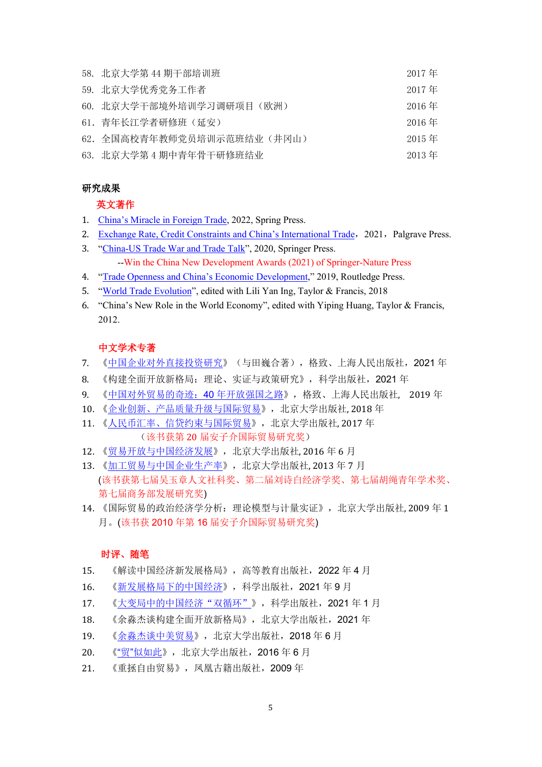| 58. 北京大学第44期干部培训班          | 2017 年   |
|----------------------------|----------|
| 59. 北京大学优秀党务工作者            | 2017年    |
| 60. 北京大学干部境外培训学习调研项目(欧洲)   | $2016$ 年 |
| 61. 青年长江学者研修班(延安)          | 2016年    |
| 62. 全国高校青年教师党员培训示范班结业(井冈山) | $2015$ 年 |
| 63. 北京大学第4期中青年骨干研修班结业      | $2013$ 年 |

#### 研究成果

#### 英文著作

- 1. [China's Miracle in Foreign](https://link.springer.com/book/10.1007/978-981-16-6030-6) Trade, 2022, Spring Press.
- 2. [Exchange Rate, Credit Constraints and China's International Trade](https://www.amazon.com/Exchange-Credit-Constraints-Chinas-International-ebook/dp/B08S71JKQX/ref=sr_1_1?dchild=1&keywords=miaojie+yu&qid=1613547914&sr=8-1), 2021, Palgrave Press.
- 3. ["China-US Trade War and Trade Talk"](https://www.amazon.com/China-US-Trade-War-Talk-ebook-dp-B089778R5W/dp/B089778R5W/ref=mt_kindle?_encoding=UTF8&me=&qid=1590762672), 2020, Springer Press. --Win the China New Development Awards (2021) of Springer-Nature Press
- 4. ["Trade Openness and China's Economic Development,](https://www.amazon.com/Openness-Chinas-Economic-Development-Perspectives-ebook/dp/B081S8FBPZ/ref=sr_1_1?dchild=1&keywords=Trade+Openness+and+China%E2%80%99s+Economic+Development&qid=1592551150&s=digital-text&sr=1-1)" 2019, Routledge Press.
- 5. ["World Trade Evolution"](https://www.amazon.com/World-Trade-Evolution-Productivity-Routledge-ERIA/dp/1138480037/ref=sr_1_1?ie=UTF8&qid=1548154330&sr=8-1&keywords=World+Trade+Evolution), edited with Lili Yan Ing, Taylor & Francis, 2018
- 6. ["China's New Role in the World Economy"](http://www.seekbooks.com.au/book/Chinas-Role-in-the-World-Economy/isbn/9780415691161.htm), edited with Yiping Huang, Taylor & Francis, 2012.

#### 中文学术专著

- 7. [《中国企业对外直接投资研究》](http://product.dangdang.com/29323946.html)(与田巍合著),格致、上海人民出版社,2021 年
- 8. 《构建全面开放新格局:理论、实证与政策研究》,科学出版社,2021 年
- 9. [《中国对外贸易的奇迹:](http://product.dangdang.com/26514877.html)40 年开放强国之路》,格致、上海人民出版社, 2019 年
- 10. [《企业创新、产品质量升级与国际贸易》](http://product.dangdang.com/26490426.html),北京大学出版社, 2018 年
- 11. [《人民币汇率、信贷约束与国际贸易》](http://product.dangdang.com/25205110.html),北京大学出版社, 2017 年 (该书获第 20 届安子介国际贸易研究奖)
- 12. [《贸易开放与中国经济发展》](http://product.dangdang.com/23989007.html),北京大学出版社, 2016 年 6 月
- 13. [《加工贸易与中国企业生产率》](http://product.dangdang.com/23307620.html),北京大学出版社, 2013年7月 (该书获第七届吴玉章人文社科奖、第二届刘诗白经济学奖、第七届胡绳青年学术奖、 第七届商务部发展研究奖)
- 14. [《国际贸易的政治经济学分析:理论模型与计量实证》](http://product.dangdang.com/20469828.html),北京大学出版社, 2009 年 1 月。(该书获 2010 年第 16 届安子介国际贸易研究奖)

#### 时评、随笔

- 15. 《解读中国经济新发展格局》,高等教育出版社,2022 年 4 月
- 16. [《新发展格局下的中国经济》](http://product.dangdang.com/29307690.html),科学出版社,2021 年 9 月
- 17. [《大变局中的中国经济"双循环"》](http://product.dangdang.com/29221592.html),科学出版社, 2021年1月
- 18. 《余淼杰谈构建全面开放新格局》,北京大学出版社,2021 年
- 19. [《余淼杰谈中美贸易》](http://product.dangdang.com/25287170.html),北京大学出版社,2018年6月
- 20. 《"贸"[似如此》](http://product.dangdang.com/23988991.html),北京大学出版社,2016 年 6 月
- 21. 《重拯自由贸易》,凤凰古籍出版社,2009 年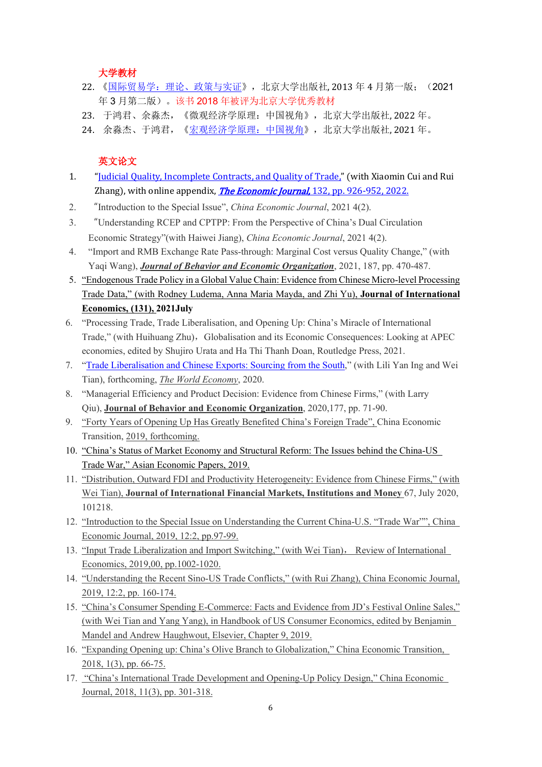大学教材

- 22. 《国际贸易学: 理论、政策与实证》, 北京大学出版社, 2013 年 4 月第一版; (2021 年 3 月第二版)。该书 2018 年被评为北京大学优秀教材
- 23. 于鸿君、余淼杰,《微观经济学原理:中国视角》,北京大学出版社, 2022 年。
- 24. 余淼杰、于鸿君,[《宏观经济学原理:中国视角》](http://product.dangdang.com/11028318924.html),北京大学出版社, 2021 年。

#### 英文论文

- 1. ["Judicial Quality, Incomplete Contracts, and Quality of Trade,"](https://www.nsd.pku.edu.cn/docs/20211204110635788496.rar) (with Xiaomin Cui and Rui Zhang), with online appendix, *The Economic Journal*, 132, pp. 926-952, 2022.
- 2. "Introduction to the Special Issue", *China Economic Journal*, 2021 4(2).
- 3. "Understanding RCEP and CPTPP: From the Perspective of China's Dual Circulation Economic Strategy"(with Haiwei Jiang), *China Economic Journal*, 2021 4(2).
- 4. "Import and RMB Exchange Rate Pass-through: Marginal Cost versus Quality Change," (with Yaqi Wang), *Journal of Behavior and Economic Organization*, 2021, 187, pp. 470-487.
- 5. ["Endogenous Trade Policy in a Global Value Chain: Evidence from Chinese Micro-level Processing](https://mjyu.ccer.pku.edu.cn/docs/20210526140243983256.pdf)  [Trade Data," \(with Rodney Ludema, Anna Maria](https://mjyu.ccer.pku.edu.cn/docs/20210526140243983256.pdf) Mayda, and Zhi Yu), **Journal of International [Economics,](https://mjyu.ccer.pku.edu.cn/docs/20210526140243983256.pdf) (131), 2021July**
- 6. "Processing Trade, Trade Liberalisation, and Opening Up: China's Miracle of International Trade," (with Huihuang Zhu), Globalisation and its Economic Consequences: Looking at APEC economies, edited by Shujiro Urata and Ha Thi Thanh Doan, Routledge Press, 2021.
- 7. ["Trade Liberalisation and Chinese Exports: Sourcing from the South,](https://onlinelibrary.wiley.com/doi/epdf/10.1111/twec.13058)" (with Lili Yan Ing and Wei Tian), forthcoming, *The World Economy*, 2020.
- 8. "Managerial Efficiency and Product Decision: Evidence from Chinese Firms," (with Larry Qiu), **Journal of Behavior and Economic Organization**, 2020,177, pp. 71-90.
- 9. ["Forty Years of Opening Up Has Greatly Benefited China's Foreign Trade",](https://mjyu.ccer.pku.edu.cn/docs/20191118124454263423.pdf) China Economic Transition, [2019, forthcoming.](https://mjyu.ccer.pku.edu.cn/docs/20191118124454263423.pdf)
- 10. ["China's Status of Market Economy and Structural Reform: The Issues](https://mjyu.ccer.pku.edu.cn/docs/20200105153006994155.pdf) behind the China-US [Trade War,](https://mjyu.ccer.pku.edu.cn/docs/20200105153006994155.pdf)" Asian Economic Papers, 2019.
- 11. ["Distribution, Outward FDI and Productivity Heterogeneity: Evidence from Chinese Firms,](http://mjyu.ccer.pku.edu.cn/docs/distribution_ODI.pdf)" (with Wei Tian), **Journal of International Financial Markets, Institutions and Money** 67, July 2020, 101218.
- 12. "[Introduction to the Special Issue on Understanding the Current China-U.S. "Trade War"",](http://mjyu.ccer.pku.edu.cn/docs/Intro2019.pdf) China Economic Journal, 2019, 12:2, pp.97-99.
- 13. ["Input Trade Liberalization and Import Switching,](http://mjyu.ccer.pku.edu.cn/docs/RIE_2019.pdf)" (with Wei Tian), Review of International Economics, 2019,00, pp.1002-1020.
- 14. ["Understanding the Recent Sino-US Trade Conflicts,](http://mjyu.ccer.pku.edu.cn/docs/tradewar19.pdf)" (with Rui Zhang), China Economic Journal, 2019, 12:2, pp. 160-174.
- 15. "China's [Consumer Spending E-Commerce: Facts and Evidence from JD's Festival Online Sales,](http://mjyu.ccer.pku.edu.cn/docs/e-commerce_TYY.pdf)" (with Wei Tian and Yang Yang), in Handbook of US Consumer Economics, edited by Benjamin Mandel and Andrew Haughwout, Elsevier, Chapter 9, 2019.
- 16. ["Expanding Opening up: China's Olive Branch to Globalization,](http://mjyu.ccer.pku.edu.cn/docs/cet2018.pdf)" China Economic Transition, 2018, 1(3), pp. 66-75.
- 17. ["China's International Trade Development and Opening-Up Policy Design,](http://mjyu.ccer.pku.edu.cn/docs/40years.pdf)" China Economic Journal, 2018, 11(3), pp. 301-318.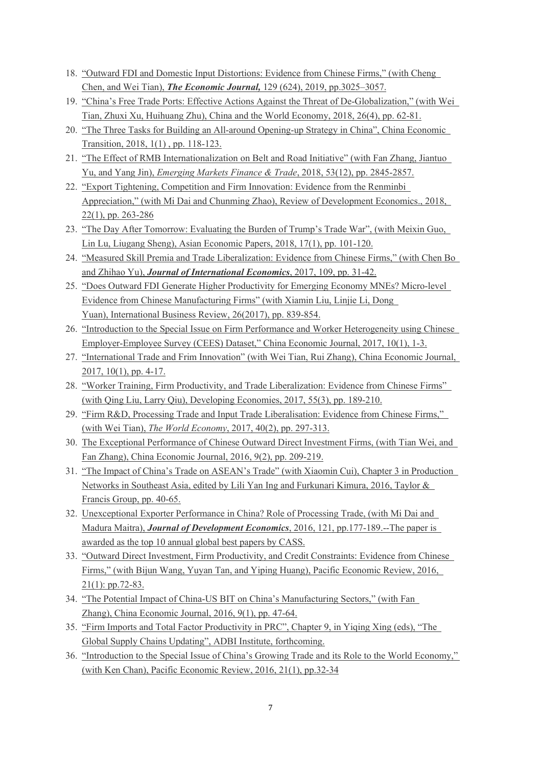- 18. ["Outward FDI and Domestic Input Distortions: Evidence from Chinese Firms,](http://mjyu.ccer.pku.edu.cn/docs/EJ_CTY.pdf)" (with Cheng Chen, and Wei Tian), *The Economic Journal,* 129 (624), 2019, pp.3025–3057.
- 19. ["China's Free Trade Ports: Effective Actions Against the Threat of De-Globalization,](http://mjyu.ccer.pku.edu.cn/docs/FreePort_CWE.pdf)" (with Wei Tian, Zhuxi Xu, Huihuang Zhu), China and the World Economy, 2018, 26(4), pp. 62-81.
- 20. ["The Three Tasks for Building an All-around Opening-up Strategy in China"](http://mjyu.ccer.pku.edu.cn/docs/three-tasks.pdf), China Economic Transition, 2018, 1(1) , pp. 118-123.
- 21. ["The Effect of RMB Internationalization on Belt and Road Initiative"](http://mjyu.ccer.pku.edu.cn/docs/1.pdf) (with Fan Zhang, Jiantuo Yu, and Yang Jin), *Emerging Markets Finance & Trade*, 2018, 53(12), pp. 2845-2857.
- 22. ["Export Tightening, Competition and Firm Innovation: Evidence from the Renminbi](http://mjyu.ccer.pku.edu.cn/docs/2.pdf)  [Appreciation,](http://mjyu.ccer.pku.edu.cn/docs/2.pdf)" (with Mi Dai and Chunming Zhao), Review of Development Economics., 2018, 22(1), pp. 263-286
- 23. ["The Day After Tomorrow: Evaluating the Burden of Trump's Trade War"](http://mjyu.ccer.pku.edu.cn/docs/3.pdf), (with Meixin Guo, Lin Lu, Liugang Sheng), Asian Economic Papers, 2018, 17(1), pp. 101-120.
- 24. ["Measured Skill Premia and Trade Liberalization: Evidence from Chinese Firms,](http://mjyu.ccer.pku.edu.cn/docs/4.pdf)" (with Chen Bo and Zhihao Yu), *Journal of International Economics*, 2017, 109, pp. 31-42.
- 25. ["Does Outward FDI Generate Higher Productivity for Emerging Economy MNEs? Micro-level](http://mjyu.ccer.pku.edu.cn/docs/5.pdf)  [Evidence from Chinese Manufacturing Firms"](http://mjyu.ccer.pku.edu.cn/docs/5.pdf) (with Xiamin Liu, Linjie Li, Dong Yuan), International Business Review, 26(2017), pp. 839-854.
- 26. ["Introduction to the Special Issue on Firm Performance and Worker Heterogeneity using Chinese](http://mjyu.ccer.pku.edu.cn/docs/6.pdf)  [Employer-Employee Survey \(CEES\) Dataset,](http://mjyu.ccer.pku.edu.cn/docs/6.pdf)" China Economic Journal, 2017, 10(1), 1-3.
- 27. ["International Trade and Frim Innovation"](http://mjyu.ccer.pku.edu.cn/docs/7.pdf) (with Wei Tian, Rui Zhang), China Economic Journal, 2017, 10(1), pp. 4-17.
- 28. ["Worker Training, Firm Productivity, and Trade Liberalization: Evidence from Chinese Firms"](http://mjyu.ccer.pku.edu.cn/docs/8.pdf) (with Qing Liu, Larry Qiu), Developing Economies, 2017, 55(3), pp. 189-210.
- 29. ["Firm R&D, Processing Trade and Input Trade Liberalisation: Evidence from Chinese Firms,](http://mjyu.ccer.pku.edu.cn/docs/9.pdf)" (with Wei Tian), *The World Economy*, 2017, 40(2), pp. 297-313.
- 30. [The Exceptional Performance of Chinese Outward Direct Investment Firms,](http://mjyu.ccer.pku.edu.cn/docs/10.pdf) (with Tian Wei, and Fan Zhang), China Economic Journal, 2016, 9(2), pp. 209-219.
- 31. "The Impact of China's Trade on ASEAN's Trade" (with Xiaomin Cui), Chapter 3 in Production Networks in Southeast Asia, edited by Lili Yan Ing and Furkunari Kimura, 2016, Taylor & Francis Group, pp. 40-65.
- 32. [Unexceptional Exporter Performance in China? Role of Processing Trade,](http://mjyu.ccer.pku.edu.cn/docs/11.pdf) (with Mi Dai and Madura Maitra), *Journal of Development Economics*, 2016, 121, pp.177-189.--The paper is awarded as the top 10 annual global best papers by CASS.
- 33. ["Outward Direct Investment, Firm Productivity, and Credit Constraints: Evidence from Chinese](http://mjyu.ccer.pku.edu.cn/docs/12.pdf)  [Firms,](http://mjyu.ccer.pku.edu.cn/docs/12.pdf)" (with Bijun Wang, Yuyan Tan, and Yiping Huang), Pacific Economic Review, 2016, 21(1): pp.72-83.
- 34. ["The Potential Impact of China-US BIT on China's Manufacturing Sectors,](http://mjyu.ccer.pku.edu.cn/docs/13.pdf)" (with Fan Zhang), China Economic Journal, 2016, 9(1), pp. 47-64.
- 35. "Firm Imports and Total Factor Productivity in PRC", Chapter 9, in Yiqing Xing (eds), "The Global Supply Chains Updating", ADBI Institute, forthcoming.
- 36. ["Introduction to the Special Issue of China's Growing Trade and its Role to the World Economy,"](http://mjyu.ccer.pku.edu.cn/docs/14.pdf) (with Ken Chan), Pacific Economic Review, 2016, 21(1), pp.32-34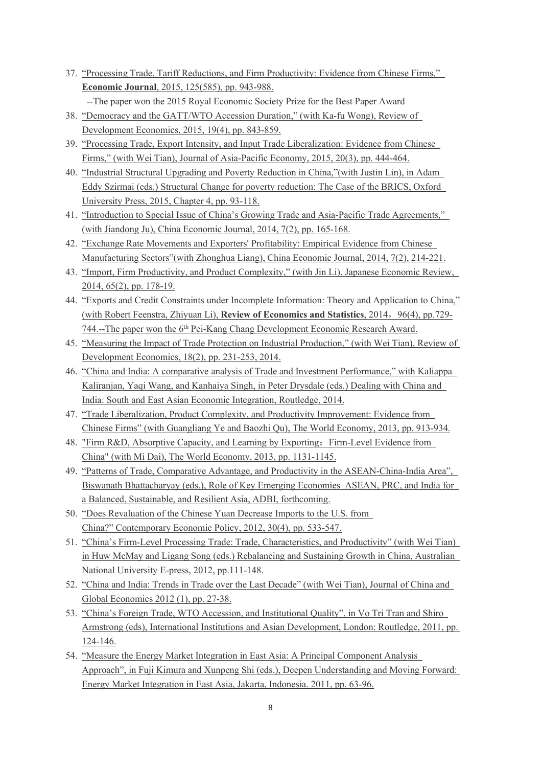- 37. ["Processing Trade, Tariff Reductions, and Firm Productivity: Evidence from Chinese Firms,](http://mjyu.ccer.pku.edu.cn/docs/15.pdf)" **Economic Journal**, 2015, 125(585), pp. 943-988.
	- --The paper won the 2015 Royal Economic Society Prize for the Best Paper Award
- 38. ["Democracy and the GATT/WTO Accession Duration,"](http://mjyu.ccer.pku.edu.cn/docs/16.pdf) (with Ka-fu Wong), Review of Development Economics, 2015, 19(4), pp. 843-859.
- 39. ["Processing Trade, Export Intensity, and Input Trade Liberalization: Evidence from Chinese](http://mjyu.ccer.pku.edu.cn/docs/17.pdf)  [Firms,](http://mjyu.ccer.pku.edu.cn/docs/17.pdf)" (with Wei Tian), Journal of Asia-Pacific Economy, 2015, 20(3), pp. 444-464.
- 40. "Industrial Structural Upgrading and Poverty Reduction in China,"(with Justin Lin), in Adam Eddy Szirmai (eds.) Structural Change for poverty reduction: The Case of the BRICS, Oxford University Press, 2015, Chapter 4, pp. 93-118.
- 41. ["Introduction to Special Issue of China's Growing Trade and Asia-Pacific Trade Agreements,](http://mjyu.ccer.pku.edu.cn/docs/18.pdf)" (with Jiandong Ju), China Economic Journal, 2014, 7(2), pp. 165-168.
- 42. ["Exchange Rate Movements and Exporters' Profitability: Empirical Evidence from Chinese](http://mjyu.ccer.pku.edu.cn/docs/19.pdf)  [Manufacturing Sectors"](http://mjyu.ccer.pku.edu.cn/docs/19.pdf)(with Zhonghua Liang), China Economic Journal, 2014, 7(2), 214-221.
- 43. ["Import, Firm Productivity, and Product Complexity,](http://mjyu.ccer.pku.edu.cn/docs/21.pdf)" (with Jin Li), Japanese Economic Review, 2014, 65(2), pp. 178-19.
- 44. ["Exports and Credit Constraints under Incomplete Information: Theory and Application to China,"](http://mjyu.ccer.pku.edu.cn/docs/22.pdf) (with Robert Feenstra, Zhiyuan Li), **Review of Economics and Statistics**, 2014, 96(4), pp.729-744.--The paper won the 6<sup>th</sup> Pei-Kang Chang Development Economic Research Award.
- 45. ["Measuring the Impact of Trade Protection on Industrial Production,](http://mjyu.ccer.pku.edu.cn/docs/RDE_Tian_Yu.pdf)" (with Wei Tian), Review of Development Economics, 18(2), pp. 231-253, 2014.
- 46. "China and India: A comparative analysis of Trade and Investment Performance," with Kaliappa Kaliranjan, Yaqi Wang, and Kanhaiya Singh, in Peter Drysdale (eds.) Dealing with China and India: South and East Asian Economic Integration, Routledge, 2014.
- 47. ["Trade Liberalization, Product Complexity, and Productivity Improvement: Evidence from](http://mjyu.ccer.pku.edu.cn/docs/23.pdf)  [Chinese Firms"](http://mjyu.ccer.pku.edu.cn/docs/23.pdf) (with Guangliang Ye and Baozhi Qu), The World Economy, 2013, pp. 913-934.
- 48. ["Firm R&D, Absorptive Capacity, and Learning by Exporting](http://mjyu.ccer.pku.edu.cn/docs/24.pdf)[:](http://mjyu.ccer.pku.edu.cn/docs/24.pdf) Firm-Level Evidence from [China"](http://mjyu.ccer.pku.edu.cn/docs/24.pdf) (with Mi Dai), The World Economy, 2013, pp. 1131-1145.
- 49. "Patterns of Trade, Comparative Advantage, and Productivity in the ASEAN-China-India Area", Biswanath Bhattacharyay (eds.), Role of Key Emerging Economies–ASEAN, PRC, and India for a Balanced, Sustainable, and Resilient Asia, ADBI, forthcoming.
- 50. ["Does Revaluation of the Chinese Yuan Decrease Imports to the U.S. from](http://mjyu.ccer.pku.edu.cn/docs/25.pdf)  [China?"](http://mjyu.ccer.pku.edu.cn/docs/25.pdf) Contemporary Economic Policy, 2012, 30(4), pp. 533-547.
- 51. "China's Firm-Level Processing Trade: Trade, Characteristics, and Productivity" (with Wei Tian) in Huw McMay and Ligang Song (eds.) Rebalancing and Sustaining Growth in China, Australian National University E-press, 2012, pp.111-148.
- 52. ["China and India: Trends in Trade over the Last Decade"](http://mjyu.ccer.pku.edu.cn/docs/26.pdf) (with Wei Tian), Journal of China and Global Economics 2012 (1), pp. 27-38.
- 53. "China's Foreign Trade, WTO Accession, and Institutional Quality", in Vo Tri Tran and Shiro Armstrong (eds), International Institutions and Asian Development, London: Routledge, 2011, pp. 124-146.
- 54. "Measure the Energy Market Integration in East Asia: A Principal Component Analysis Approach", in Fuji Kimura and Xunpeng Shi (eds.), Deepen Understanding and Moving Forward: Energy Market Integration in East Asia, Jakarta, Indonesia. 2011, pp. 63-96.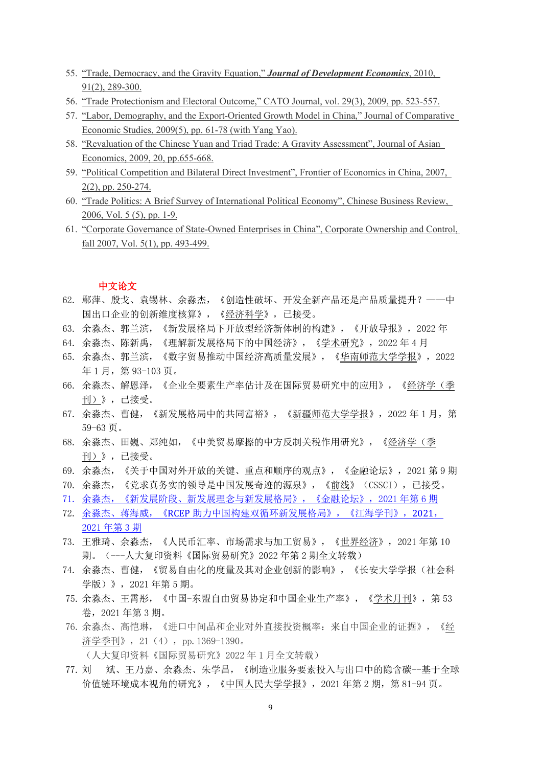- 55. ["Trade, Democracy, and the Gravity Equation,](http://mjyu.ccer.pku.edu.cn/docs/27.pdf)" *Journal of Development Economics*, 2010, 91(2), 289-300.
- 56. ["Trade Protectionism and Electoral Outcome,](http://mjyu.ccer.pku.edu.cn/docs/28.pdf)" CATO Journal, vol. 29(3), 2009, pp. 523-557.
- 57. ["Labor, Demography, and the Export-Oriented Growth Model in China,](http://mjyu.ccer.pku.edu.cn/docs/29.pdf)" Journal of Comparative Economic Studies, 2009(5), pp. 61-78 (with Yang Yao).
- 58. ["Revaluation of the Chinese Yuan and Triad Trade: A Gravity Assessment"](http://mjyu.ccer.pku.edu.cn/docs/30.pdf), Journal of Asian Economics, 2009, 20, pp.655-668.
- 59. ["Political Competition and Bilateral Direct Investment"](http://mjyu.ccer.pku.edu.cn/docs/31.pdf), Frontier of Economics in China, 2007, 2(2), pp. 250-274.
- 60. ["Trade Politics: A Brief Survey of International Political Economy"](http://mjyu.ccer.pku.edu.cn/docs/32.pdf), Chinese Business Review, 2006, Vol. 5 (5), pp. 1-9.
- 61. ["Corporate Governance of State-Owned Enterprises in China"](http://mjyu.ccer.pku.edu.cn/docs/33.pdf), Corporate Ownership and Control, fall 2007, Vol. 5(1), pp. 493-499.

#### 中文论文

- 62. 鄢萍、殷戈、袁锡林、余淼杰,《创造性破坏、开发全新产品还是产品质量提升?——中 国出口企业的创新维度核算》,《经济科学》,已接受。
- 63. 余淼杰、郭兰滨,《新发展格局下开放型经济新体制的构建》,《开放导报》,2022 年
- 64. 余淼杰、陈新禹,《理解新发展格局下的中国经济》,《学术研究》,2022 年 4 月
- 65. 余淼杰、郭兰滨,《数字贸易推动中国经济高质量发展》,《华南师范大学学报》,2022 年 1 月,第 93-103 页。
- 66. 余淼杰、解恩泽,《企业全要素生产率估计及在国际贸易研究中的应用》,《经济学(季 刊)》,已接受。
- 67. 余淼杰、曹健,《新发展格局中的共同富裕》,《新疆师范大学学报》,2022 年 1 月,第 59-63 页。
- 68. 余淼杰、田巍、郑纯如,《中美贸易摩擦的中方反制关税作用研究》,《经济学(季 刊)》,已接受。
- 69. 余淼杰,《关于中国对外开放的关键、重点和顺序的观点》,《金融论坛》,2021 第 9 期
- 70. 余淼杰,《党求真务实的领导是中国发展奇迹的源泉》,《前线》(CSSCI),已接受。
- 71. [余淼杰,《新发展阶段、新发展理念与新发展格局》,《金融论坛》,](https://mjyu.ccer.pku.edu.cn/docs/20210526135140413106.pdf)2021 年第 6 期
- 72. 余淼杰、蒋海威,《RCEP [助力中国构建双循环新发展格局》,《江海学刊》,](https://mjyu.ccer.pku.edu.cn/docs/20210526135112307077.pdf)2021, [2021](https://mjyu.ccer.pku.edu.cn/docs/20210526135112307077.pdf) 年第 3 期
- 73. 王雅琦、余淼杰,《人民币汇率、市场需求与加工贸易》,《世界经济》,2021 年第 10 期。(---人大复印资料《国际贸易研究》2022 年第 2 期全文转载)
- 74. 余淼杰、曹健,《贸易自由化的度量及其对企业创新的影响》,《长安大学学报(社会科 学版)》,2021 年第 5 期。
- 75. 余淼杰、王霄彤[,《中国](https://mjyu.ccer.pku.edu.cn/docs/20210315174207196595.pdf)-[东盟自由贸易协定和中国企业生产率》,《学术月刊》,第](https://mjyu.ccer.pku.edu.cn/docs/20210315174207196595.pdf) 53 [卷,](https://mjyu.ccer.pku.edu.cn/docs/20210315174207196595.pdf)2021 年第 3 期。
- 76. 余淼杰、高恺琳,《进口中间品和企业对外直接投资概率:来自中国企业的证据》,《经 济学季刊》,21(4),pp.1369-1390。
	- (人大复印资料《国际贸易研究》2022 年 1 月全文转载)
- 77. 刘 [斌、王乃嘉、余淼杰、朱学昌,《制造业服务要素投入与出口中的隐含碳](https://mjyu.ccer.pku.edu.cn/docs/20210315174539006633.pdf)--基于全球 [价值链环境成本视角的研究》,《中国人民大学学报》,](https://mjyu.ccer.pku.edu.cn/docs/20210315174539006633.pdf)2021 年第 2 期,第 81-94 页。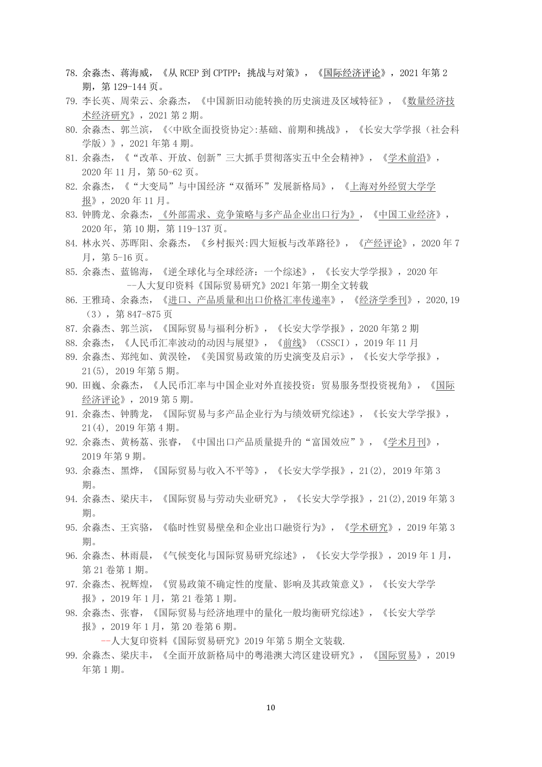- 78. 余淼杰、蒋海威[,《从](https://mjyu.ccer.pku.edu.cn/docs/20210308162425316726.pdf) RCEP 到 [CPTPP](https://mjyu.ccer.pku.edu.cn/docs/20210308162425316726.pdf)[:挑战与对策》,《国际经济评论》,](https://mjyu.ccer.pku.edu.cn/docs/20210308162425316726.pdf)2021 年第 2 期,第 129-144 页。
- 79. 李长英、周荣云、余淼杰,《中国新旧动能转换的历史演进及区域特征》,《数量经济技 术经济研究》,2021 第 2 期。
- 80. 余淼杰、郭兰滨,《<中欧全面投资协定>:基础、前期和挑战》,《长安大学学报(社会科 学版)》,2021 年第 4 期。
- 81. 余淼杰,《"改革、开放、创新"三大抓手贯彻落实五中全会精神》,《学术前沿》, 2020 年 11 月,第 50-62 页。
- 82. 余淼杰,《"大变局"与中国经济"双循环"发展新格局》,《上海对外经贸大学学 报》,2020 年 11 月。
- 83. 钟腾龙、余淼杰, 《外部需求、竞争策略与多产品企业出口行为》, 《中国工业经济》, 2020 年,第 10 期,第 119-137 页。
- 84. 林永兴、苏晖阳、余淼杰,《乡村振兴:四大短板与改革路径》,《产经评论》,2020 年 7 月,第 5-16 页。
- 85. 余淼杰、蓝锦海,《逆全球化与全球经济:一个综述》,《长安大学学报》,2020 年 --人大复印资料《国际贸易研究》2021 年第一期全文转载
- 86. 王雅琦、余淼杰,[《进口、产品质量和出口价格汇率传递率》](https://www.nsd.pku.edu.cn/docs/20200704111353705560.pdf),《经济学季刊》,2020,19 (3),第 847-875 页
- 87. 余淼杰、郭兰滨,《国际贸易与福利分析》,《长安大学学报》,2020 年第 2 期
- 88. 余淼杰[,《人民币汇率波动的动因与展望》,《前线》\(](https://mjyu.ccer.pku.edu.cn/docs/20191115203828737545.pdf)CSSCI[\),](https://mjyu.ccer.pku.edu.cn/docs/20191115203828737545.pdf)2019 [年](https://mjyu.ccer.pku.edu.cn/docs/20191115203828737545.pdf) 11 月
- 89. 余淼杰、郑纯如、黄淏铨[,《美国贸易政策的历史演变及启示》,《长安大学学报》,](https://mjyu.ccer.pku.edu.cn/docs/20191115203846569680.pdf) [21\(5\), 2019](https://mjyu.ccer.pku.edu.cn/docs/20191115203846569680.pdf) [年第](https://mjyu.ccer.pku.edu.cn/docs/20191115203846569680.pdf) 5 [期。](https://mjyu.ccer.pku.edu.cn/docs/20191115203846569680.pdf)
- 90. 田巍、余淼杰[,《人民币汇率与中国企业对外直接投资:贸易服务型投资视角》,](https://mjyu.ccer.pku.edu.cn/docs/20191209133321920066.pdf)《国际 经济评论》,2019 第 5 期。
- 91. 余淼杰、钟腾龙,[《国际贸易与多产品企业行为与绩效研究综述》](http://mjyu.ccer.pku.edu.cn/docs/multiproduct.pdf),《长安大学学报》, 21(4), 2019 年第 4 期。
- 92. 余淼杰、黄杨荔、张睿, 《中国出口产品质量提升的"富国效应"》, 《学术月刊》, [2019](https://mjyu.ccer.pku.edu.cn/docs/20191115204001193756.pdf) 年第 9 期。
- 93. 余淼杰、黑烨,[《国际贸易与收入不平等》](http://mjyu.ccer.pku.edu.cn/docs/docs/inequality.pdf),《长安大学学报》,21(2), 2019 年第 3 期。
- 94. 余淼杰、梁庆丰,[《国际贸易与劳动失业研究》](http://mjyu.ccer.pku.edu.cn/docs/unemploy.pdf),《长安大学学报》,21(2),2019 年第 3 期。
- 95. 余淼杰、王宾骆,[《临时性贸易壁垒和企业出口融资行为》](http://mjyu.ccer.pku.edu.cn/docs/ntb.pdf),《学术研究》,2019 年第 3 期。
- 96. 余淼杰、林雨晨[,《气候变化与国际贸易研究综述》,《长安大学学报》,](https://mjyu.ccer.pku.edu.cn/docs/20191209134420465126.pdf)2019 年 1 月, 第 21 卷第 1 期。
- 97. 余淼杰、祝辉煌,[《贸易政策不确定性的度量、影响及其政策意义》](https://mjyu.ccer.pku.edu.cn/docs/20191209134826012301.pdf),《长安大学学 报》,2019 年 1 月,第 21 卷第 1 期。
- 98. 余淼杰、张睿,[《国际贸易与经济地理中的量化一般均衡研究综述》](https://mjyu.ccer.pku.edu.cn/docs/20191209134734077240.pdf),《长安大学学 报》,2019 年 1 月,第 20 卷第 6 期。

--人大复印资料《国际贸易研究》2019 年第 5 期全文装载.

99. 余淼杰、梁庆丰,[《全面开放新格局中的粤港澳大湾区建设研究》](https://mjyu.ccer.pku.edu.cn/docs/20191209134953010466.pdf),《国际贸易》,2019 年第 1 期。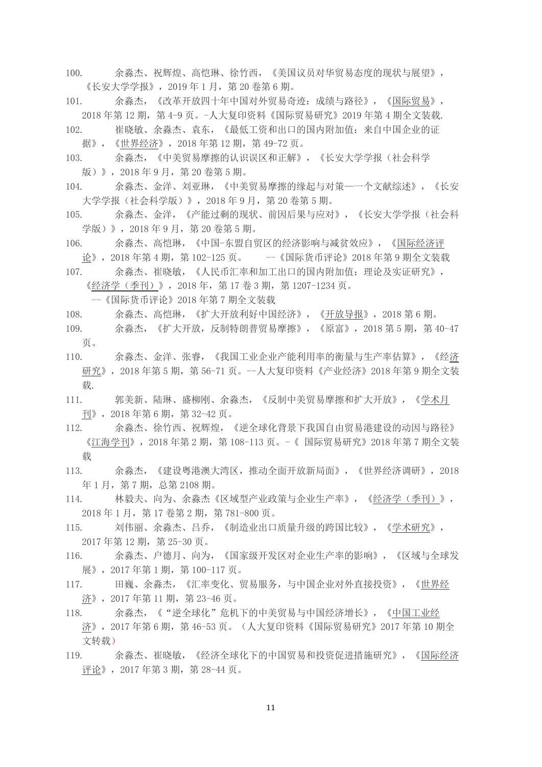- 100. 余淼杰、祝辉煌、高恺琳、徐竹西,[《美国议员对华贸易态度的现状与展望》](https://mjyu.ccer.pku.edu.cn/docs/20191209135103433563.pdf), 《长安大学学报》,2019 年 1 月,第 20 卷第 6 期。
- 101. 余淼杰,[《改革开放四十年中国对外贸易奇迹:成绩与路径》](https://mjyu.ccer.pku.edu.cn/docs/20191209135156666643.pdf),《国际贸易》, 2018 年第 12 期, 第 4-9 页。-人大复印资料《国际贸易研究》2019 年第 4 期全文装载.
- 102. 崔晓敏、余淼杰、袁东,[《最低工资和出口的国内附加值:来自中国企业的证](http://mjyu.ccer.pku.edu.cn/docs/100.pdf) [据》](http://mjyu.ccer.pku.edu.cn/docs/100.pdf),《世界经济》,2018 年第 12 期,第 49-72 页。
- 103. 余淼杰,[《中美贸易摩擦的认识误区和正解》](http://mjyu.ccer.pku.edu.cn/docs/97.pdf),《长安大学学报(社会科学 版)》,2018 年 9 月,第 20 卷第 5 期。
- 104. 余淼杰、金洋、刘亚琳,[《中美贸易摩擦的缘起与对策](http://mjyu.ccer.pku.edu.cn/docs/98.pdf)—一个文献综述》,《长安 大学学报(社会科学版)》,2018 年 9 月,第 20 卷第 5 期。
- 105. 余淼杰、金洋,[《产能过剩的现状、前因后果与应对》](http://mjyu.ccer.pku.edu.cn/docs/99.pdf),《长安大学学报(社会科 学版)》,2018 年 9 月,第 20 卷第 5 期。
- 106. 余淼杰、高恺琳,《中国-[东盟自贸区的经济影响与减贫效应》](http://mjyu.ccer.pku.edu.cn/docs/39u.pdf),《国际经济评 论》,2018 年第 4 期,第 102-125 页。 --《国际货币评论》2018 年第 9 期全文装载
- 107. 余淼杰、崔晓敏,[《人民币汇率和加工出口的国内附加值:理论及实证研究》](http://mjyu.ccer.pku.edu.cn/docs/40u.pdf), 《经济学(季刊)》,2018 年,第 17 卷 3 期,第 1207-1234 页。

--《国际货币评论》2018 年第 7 期全文装载

- 108. 余淼杰、高恺琳,[《扩大开放利好中国经济》](http://mjyu.ccer.pku.edu.cn/docs/41u.pdf),《开放导报》,2018 第 6 期。
- 109. 余淼杰,[《扩大开放,反制特朗普贸易摩擦》](http://mjyu.ccer.pku.edu.cn/docs/42u.pdf),《原富》,2018 第 5 期,第 40-47 页。
- 110. 余淼杰、金洋、张睿,[《我国工业企业产能利用率的衡量与生产率估算》](http://mjyu.ccer.pku.edu.cn/docs/43u.pdf),《经济 研究》,2018 年第 5 期,第 56-71 页。--人大复印资料《产业经济》2018 年第 9 期全文装 载.
- 111. 郭美新、陆琳、盛柳刚、余淼杰, [《反制中美贸易摩擦和扩大开放》](http://mjyu.ccer.pku.edu.cn/docs/44u.pdf), 《学术月 刊》,2018 年第 6 期,第 32-42 页。
- 112. 余淼杰、徐竹西、祝辉煌,[《逆全球化背景下我国自由贸易港建设的动因与路径》](https://mjyu.ccer.pku.edu.cn/docs/20191209141021540753.pdf) 《江海学刊》,2018 年第 2 期,第 108-113 页。-《 国际贸易研究》2018 年第 7 期全文装 载
- 113. 余淼杰,《建设粤港澳大湾区,推动全面开放新局面》,《世界经济调研》,2018 年 1 月,第 7 期,总第 2108 期。
- 114. 林毅夫、向为、余淼杰[《区域型产业政策与企业生产率》](http://mjyu.ccer.pku.edu.cn/docs/35.pdf),《经济学(季刊)》, 2018 年 1 月,第 17 卷第 2 期,第 781-800 页。
- 115. 刘伟丽、余淼杰、吕乔,[《制造业出口质量升级的跨国比较》](http://mjyu.ccer.pku.edu.cn/docs/37.pdf),《学术研究》, 2017 年第 12 期,第 25-30 页。
- 116. 余淼杰、户德月、向为,[《国家级开发区对企业生产率的影响》](http://mjyu.ccer.pku.edu.cn/docs/39.pdf),《区域与全球发 展》,2017 年第 1 期,第 100-117 页。
- 117. 田巍、余淼杰,[《汇率变化、贸易服务,与中国企业对外直接投资》](http://mjyu.ccer.pku.edu.cn/docs/40.pdf),《世界经 济》,2017 年第 11 期,第 23-46 页。
- 118. 余淼杰,[《"逆全球化"危机下的中美贸易与中国经济增长》](http://mjyu.ccer.pku.edu.cn/docs/41.pdf),《中国工业经 济》,2017 年第 6 期,第 46-53 页。(人大复印资料《国际贸易研究》2017 年第 10 期全 文转载)
- 119. 余淼杰、崔晓敏,[《经济全球化下的中国贸易和投资促进措施研究》](http://mjyu.ccer.pku.edu.cn/docs/42.pdf),《国际经济 评论》, 2017年第 3 期, 第 28-44 页。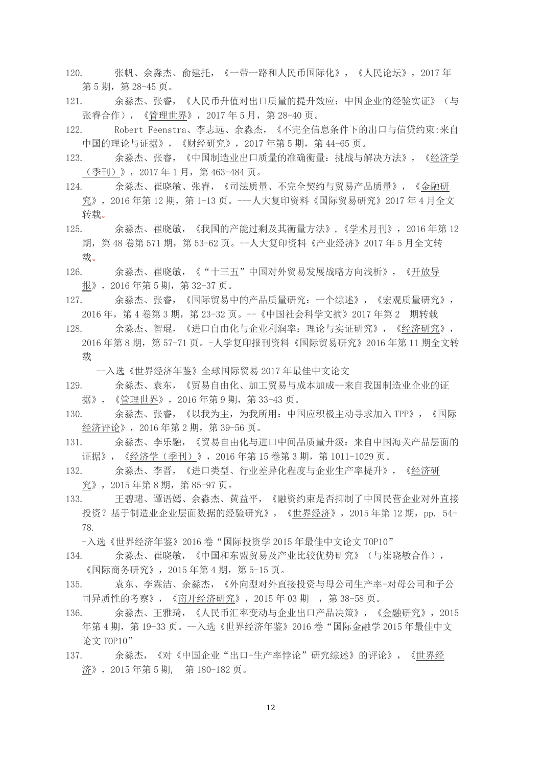- 120. 张帆、余淼杰、俞建托,[《一带一路和人民币国际化》](http://mjyu.ccer.pku.edu.cn/docs/43.pdf),《人民论坛》,2017 年 第 5 期, 第 28-45 页。
- 121. 余淼杰、张睿,[《人民币升值对出口质量的提升效应:中国企业的经验实证》](http://mjyu.ccer.pku.edu.cn/docs/44.pdf)(与 张睿合作),《管理世界》,2017 年 5 月,第 28-40 页。
- 122. Robert Feenstra、李志远、余淼杰,[《不完全信息条件下的出口与信贷约束](http://mjyu.ccer.pku.edu.cn/docs/45.pdf):来自 [中国的理论与证据》](http://mjyu.ccer.pku.edu.cn/docs/45.pdf),《财经研究》,2017年第 5 期,第 44-65 页。
- 123. 余淼杰、张睿,[《中国制造业出口质量的准确衡量:挑战与解决方法》](http://mjyu.ccer.pku.edu.cn/docs/46.pdf),《经济学 (季刊)》,2017 年 1 月,第 463-484 页。
- 124. 余淼杰、崔晓敏、张睿,[《司法质量、不完全契约与贸易产品质量》](http://mjyu.ccer.pku.edu.cn/docs/47.pdf),《金融研 究》,2016 年第 12 期,第 1-13 页。---人大复印资料《国际贸易研究》2017 年 4 月全文 转载。
- 125. 余淼杰、崔晓敏,[《我国的产能过剩及其衡量方法》](http://mjyu.ccer.pku.edu.cn/docs/48.pdf),《学术月刊》,2016 年第 12 期,第 48 卷第 571 期,第 53-62 页。--人大复印资料《产业经济》2017 年 5 月全文转 载。
- 126. 余淼杰、崔晓敏,[《"十三五"中国对外贸易发展战略方向浅析》](http://mjyu.ccer.pku.edu.cn/docs/49.pdf),《开放导 报》,2016 年第 5 期,第 32-37 页。
- 127. 余淼杰、张睿,[《国际贸易中的产品质量研究:一个综述》](http://mjyu.ccer.pku.edu.cn/docs/50.pdf),《宏观质量研究》, 2016 年,第 4 卷第 3 期,第 23-32 页。--《中国社会科学文摘》2017 年第 2 期转载
- 128. 余淼杰、智琨,[《进口自由化与企业利润率:理论与实证研究》](http://mjyu.ccer.pku.edu.cn/docs/51.pdf),《经济研究》, 2016 年第 8 期,第 57-71 页。-人学复印报刊资料《国际贸易研究》2016 年第 11 期全文转 载
	- --入选《世界经济年鉴》全球国际贸易 2017 年最佳中文论文
- 129. 余淼杰、袁东,[《贸易自由化、加工贸易与成本加成](http://mjyu.ccer.pku.edu.cn/docs/52.pdf)--来自我国制造业企业的证 [据》](http://mjyu.ccer.pku.edu.cn/docs/52.pdf),《管理世界》,2016 年第 9 期,第 33-43 页。
- 130. 余淼杰、张睿,[《以我为主,为我所用:中国应积极主动寻求加入](http://mjyu.ccer.pku.edu.cn/docs/53.pdf) TPP》,《国际 经济评论》,2016 年第 2 期,第 39-56 页。
- 131. 余淼杰、李乐融,[《贸易自由化与进口中间品质量升级:来自中国海关产品层面的](http://mjyu.ccer.pku.edu.cn/docs/54.pdf) [证据》](http://mjyu.ccer.pku.edu.cn/docs/54.pdf),《经济学(季刊)》,2016 年第 15 卷第 3 期,第 1011-1029 页。
- 132. 余淼杰、李晋,[《进口类型、行业差异化程度与企业生产率提升》](http://mjyu.ccer.pku.edu.cn/docs/55.pdf),《经济研 究》,2015 年第 8 期,第 85-97 页。
- 133. 王碧珺、谭语嫣、余淼杰、黄益平,[《融资约束是否抑制了中国民营企业对外直接](http://mjyu.ccer.pku.edu.cn/docs/56.pdf) [投资?基于制造业企业层面数据的经验研究》](http://mjyu.ccer.pku.edu.cn/docs/56.pdf),《世界经济》,2015 年第 12 期,pp. 54- 78.
	- -入选《世界经济年鉴》2016 卷"国际投资学 2015 年最佳中文论文 TOP10"
- 134. 余淼杰、崔晓敏,[《中国和东盟贸易及产业比较优势研究》](http://mjyu.ccer.pku.edu.cn/docs/57.pdf)(与崔晓敏合作), 《国际商务研究》,2015 年第 4 期,第 5-15 页。
- 135. 袁东、李霖洁、余淼杰,[《外向型对外直接投资与母公司生产率](http://mjyu.ccer.pku.edu.cn/docs/58.pdf)-对母公司和子公 [司异质性的考察》](http://mjyu.ccer.pku.edu.cn/docs/58.pdf),《南开经济研究》, 2015 年 03 期 , 第 38-58 页。
- 136. 余淼杰、王雅琦,[《人民币汇率变动与企业出口产品决策》](http://mjyu.ccer.pku.edu.cn/docs/59.pdf),《金融研究》,2015 年第 4 期,第 19-33 页。--入选《世界经济年鉴》2016 卷"国际金融学 2015 年最佳中文 论文 TOP10"
- 137. 余淼杰,《对《中国企业"出口-[生产率悖论"研究综述》的评论》](http://mjyu.ccer.pku.edu.cn/docs/60.pdf),《世界经 济》,2015 年第 5 期, 第 180-182 页。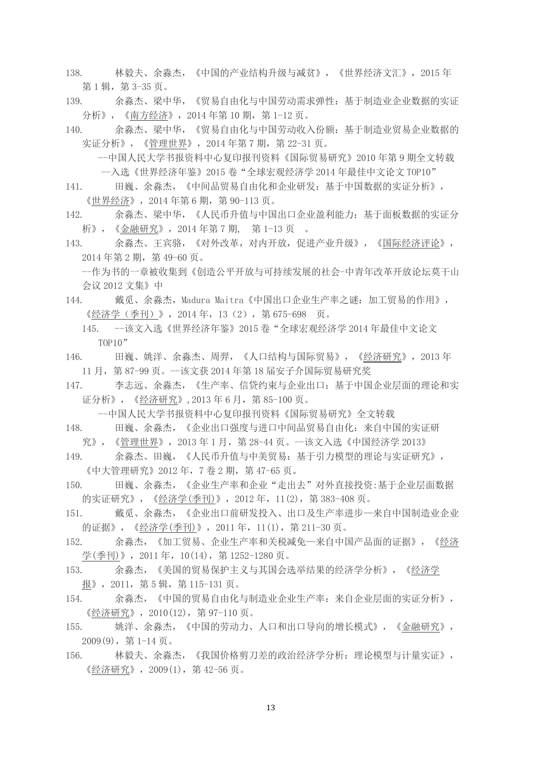- 138. 林毅夫、余淼杰,《中国的产业结构升级与减贫》,《世界经济文汇》,2015 年 第 1 辑, 第 3-35 页。
- 139. 余淼杰、梁中华,[《贸易自由化与中国劳动需求弹性:基于制造业企业数据的实证](http://mjyu.ccer.pku.edu.cn/docs/62.pdf) [分析》](http://mjyu.ccer.pku.edu.cn/docs/62.pdf),《南方经济》,2014 年第 10 期,第 1-12 页。
- 140. 余淼杰、梁中华,[《贸易自由化与中国劳动收入份额:基于制造业贸易企业数据的](http://mjyu.ccer.pku.edu.cn/docs/63.pdf) [实证分析》](http://mjyu.ccer.pku.edu.cn/docs/63.pdf),《管理世界》,2014 年第 7 期,第 22-31 页。
	- --中国人民大学书报资料中心复印报刊资料《国际贸易研究》2010 年第 9 期全文转载 --入选《世界经济年鉴》2015 卷"全球宏观经济学 2014 年最佳中文论文 TOP10"
- 141. 田巍、余淼杰,[《中间品贸易自由化和企业研发:基于中国数据的实证分析》](http://mjyu.ccer.pku.edu.cn/docs/64.pdf), 《世界经济》,2014 年第 6 期,第 90-113 页。
- 142. 余淼杰、梁中华,[《人民币升值与中国出口企业盈利能力:基于面板数据的实证分](http://mjyu.ccer.pku.edu.cn/docs/65.pdf) [析》](http://mjyu.ccer.pku.edu.cn/docs/65.pdf),《金融研究》,2014 年第 7 期, 第 1-13 页 。
- 143. 余淼杰、王宾骆,[《对外改革,对内开放,促进产业升级》](http://mjyu.ccer.pku.edu.cn/docs/66.pdf),《国际经济评论》, 2014 年第 2 期,第 49-60 页。

--作为书的一章被收集到《创造公平开放与可持续发展的社会-中青年改革开放论坛莫干山 会议 2012 文集》中

- 144. 戴觅、余淼杰,Madura Maitra《中国出口企业生产率之谜: 加工贸易的作用》, 《经济学(季刊)》,2014 年,13(2),第 675-698 页。
	- 145. --该文入选《世界经济年鉴》2015 卷"全球宏观经济学 2014 年最佳中文论文 TOP10"
- 146. 田巍、姚洋、余淼杰、周羿,[《人口结构与国际贸易》](http://mjyu.ccer.pku.edu.cn/docs/68.pdf),《经济研究》,2013 年 11 月,第 87-99 页。--该文获 2014 年第 18 届安子介国际贸易研究奖
- 147. 李志远、余淼杰,[《生产率、信贷约束与企业出口:基于中国企业层面的理论和实](http://mjyu.ccer.pku.edu.cn/docs/69.pdf) [证分析》](http://mjyu.ccer.pku.edu.cn/docs/69.pdf),《经济研究》,2013 年 6 月,第 85-100 页。
	- --中国人民大学书报资料中心复印报刊资料《国际贸易研究》全文转载
- 148. 田巍、余淼杰,[《企业出口强度与进口中间品贸易自由化:来自中国的实证研](http://mjyu.ccer.pku.edu.cn/docs/70.pdf) [究》](http://mjyu.ccer.pku.edu.cn/docs/70.pdf),《管理世界》,2013 年 1 月,第 28-44 页。--该文入选《中国经济学 2013》
- 149. 余淼杰、田巍,[《人民币升值与中美贸易:基于引力模型的理论与实证研究》](http://mjyu.ccer.pku.edu.cn/docs/71.pdf), 《中大管理研究》2012 年,7 卷 2 期,第 47-65 页。
- 150. 田巍、余淼杰,[《企业生产率和企业"走出去"对外直接投资](http://mjyu.ccer.pku.edu.cn/docs/72.pdf):基于企业层面数据 [的实证研究》](http://mjyu.ccer.pku.edu.cn/docs/72.pdf),《经济学(季刊)》,2012 年,11(2),第 383-408 页。
- 151. 戴觅、余淼杰,[《企业出口前研发投入、出口及生产率进步](http://mjyu.ccer.pku.edu.cn/docs/73.pdf)—来自中国制造业企业 [的证据》](http://mjyu.ccer.pku.edu.cn/docs/73.pdf),《经济学(季刊)》,2011 年,11(1),第 211-30 页。
- 152. 余淼杰,[《加工贸易、企业生产率和关税减免](http://mjyu.ccer.pku.edu.cn/docs/74.pdf)—来自中国产品面的证据》,《经济 学(季刊)》,2011年,10(14),第 1252-1280 页。
- 153. 余淼杰,[《美国的贸易保护主义与其国会选举结果的经济学分析》](http://mjyu.ccer.pku.edu.cn/docs/75.pdf),《经济学 报》,2011,第 5 辑,第 115-131 页。
- 154. 余淼杰,[《中国的贸易自由化与制造业企业生产率:来自企业层面的实证分析》](http://mjyu.ccer.pku.edu.cn/docs/76.pdf), 《经济研究》,2010(12),第 97-110 页。
- 155. 姚洋、余淼杰,[《中国的劳动力、人口和出口导向的增长模式》](http://mjyu.ccer.pku.edu.cn/docs/77.pdf),《金融研究》, 2009(9),第 1-14 页。
- 156. 林毅夫、余淼杰,[《我国价格剪刀差的政治经济学分析:理论模型与计量实证》](http://mjyu.ccer.pku.edu.cn/docs/78.pdf), 《经济研究》,2009(1),第 42-56 页。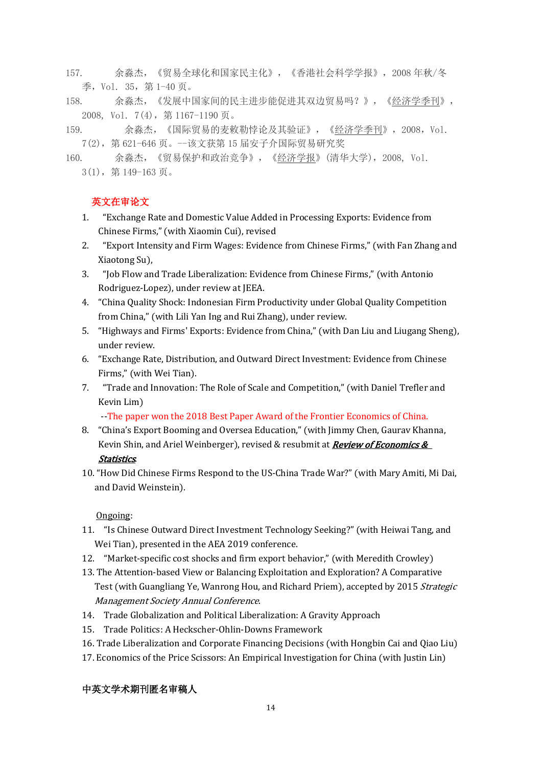- 157. 余淼杰,《贸易全球化和国家民主化》,《香港社会科学学报》,2008 年秋/冬 季,Vol. 35,第 1-40 页。
- 158. 余淼杰,[《发展中国家间的民主进步能促进其双边贸易吗?》](http://mjyu.ccer.pku.edu.cn/docs/80.pdf),《经济学季刊》, 2008, Vol. 7(4),第 1167-1190 页。
- 159. 余淼杰,[《国际贸易的麦敕勒悖论及其验证》](http://mjyu.ccer.pku.edu.cn/docs/81.pdf),《经济学季刊》,2008,Vol. 7(2),第 621-646 页。--该文获第 15 届安子介国际贸易研究奖

160. 余淼杰,[《贸易保护和政治竞争》](http://mjyu.ccer.pku.edu.cn/docs/82.pdf),《经济学报》(清华大学),2008, Vol. 3(1),第 149-163 页。

# 英文在审论文

- 1. "Exchange Rate and Domestic Value Added in Processing Exports: Evidence from Chinese Firms," (with Xiaomin Cui), revised
- 2. "Export Intensity and Firm Wages: Evidence from Chinese Firms," (with Fan Zhang and Xiaotong Su),
- 3. "Job Flow and Trade Liberalization: Evidence from Chinese Firms," (with Antonio Rodriguez-Lopez), under review at JEEA.
- 4. "China Quality Shock: Indonesian Firm Productivity under Global Quality Competition from China," (with Lili Yan Ing and Rui Zhang), under review.
- 5. "Highways and Firms' Exports: Evidence from China," (with Dan Liu and Liugang Sheng), under review.
- 6. "Exchange Rate, Distribution, and Outward Direct Investment: Evidence from Chinese Firms," (with Wei Tian).
- 7. "Trade and Innovation: The Role of Scale and Competition," (with Daniel Trefler and Kevin Lim)

--The paper won the 2018 Best Paper Award of the Frontier Economics of China.

- 8. "China's Export Booming and Oversea Education," (with Jimmy Chen, Gaurav Khanna, Kevin Shin, and Ariel Weinberger), revised & resubmit at *Review of Economics &* Statistics.
- 10. "How Did Chinese Firms Respond to the US-China Trade War?" (with Mary Amiti, Mi Dai, and David Weinstein).

# Ongoing:

- 11. "Is Chinese Outward Direct Investment Technology Seeking?" (with Heiwai Tang, and Wei Tian), presented in the AEA 2019 conference.
- 12. "Market-specific cost shocks and firm export behavior," (with Meredith Crowley)
- 13. The Attention-based View or Balancing Exploitation and Exploration? A Comparative Test (with Guangliang Ye, Wanrong Hou, and Richard Priem), accepted by 2015 Strategic Management Society Annual Conference.
- 14. Trade Globalization and Political Liberalization: A Gravity Approach
- 15. Trade Politics: A Heckscher-Ohlin-Downs Framework
- 16. Trade Liberalization and Corporate Financing Decisions (with Hongbin Cai and Qiao Liu)
- 17. Economics of the Price Scissors: An Empirical Investigation for China (with Justin Lin)

# 中英文学术期刊匿名审稿人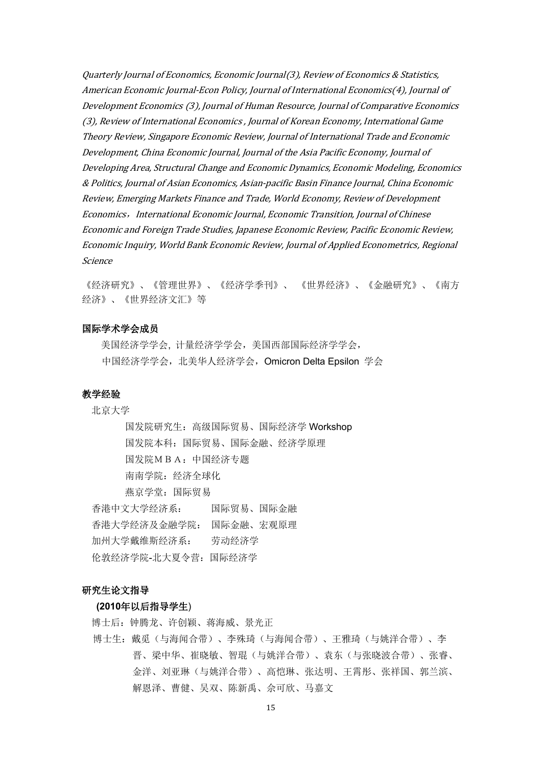Quarterly Journal of Economics, Economic Journal(3), Review of Economics & Statistics, American Economic Journal-Econ Policy, Journal of International Economics(4), Journal of Development Economics (3), Journal of Human Resource, Journal of Comparative Economics (3), Review of International Economics , Journal of Korean Economy, International Game Theory Review, Singapore Economic Review, Journal of International Trade and Economic Development, China Economic Journal, Journal of the Asia Pacific Economy, Journal of Developing Area, Structural Change and Economic Dynamics, Economic Modeling, Economics & Politics, Journal of Asian Economics, Asian-pacific Basin Finance Journal, China Economic Review, Emerging Markets Finance and Trade, World Economy, Review of Development Economics,International Economic Journal, Economic Transition, Journal of Chinese Economic and Foreign Trade Studies, Japanese Economic Review, Pacific Economic Review, Economic Inquiry, World Bank Economic Review, Journal of Applied Econometrics, Regional Science

《经济研究》、《管理世界》、《经济学季刊》、 《世界经济》、《金融研究》、《南方 经济》、《世界经济文汇》等

#### 国际学术学会成员

 美国经济学学会, 计量经济学学会,美国西部国际经济学学会, 中国经济学学会,北美华人经济学会,Omicron Delta Epsilon 学会

#### 教学经验

北京大学

国发院研究生:高级国际贸易、国际经济学 Workshop 国发院本科:国际贸易、国际金融、经济学原理 国发院MBA:中国经济专题 南南学院: 经济全球化 燕京学堂:国际贸易 香港中文大学经济系: 国际贸易、国际金融 香港大学经济及金融学院: 国际金融、宏观原理 加州大学戴维斯经济系: 劳动经济学 伦敦经济学院-北大夏令营:国际经济学

# 研究生论文指导

# **(2010**年以后指导学生)

博士后:钟腾龙、许创颖、蒋海威、景光正

博士生:戴觅(与海闻合带)、李殊琦(与海闻合带)、王雅琦(与姚洋合带)、李 晋、梁中华、崔晓敏、智琨(与姚洋合带)、袁东(与张晓波合带)、张睿、 金洋、刘亚琳(与姚洋合带)、高恺琳、张达明、王霄彤、张祥国、郭兰滨、 解恩泽、曹健、吴双、陈新禹、佘可欣、马嘉文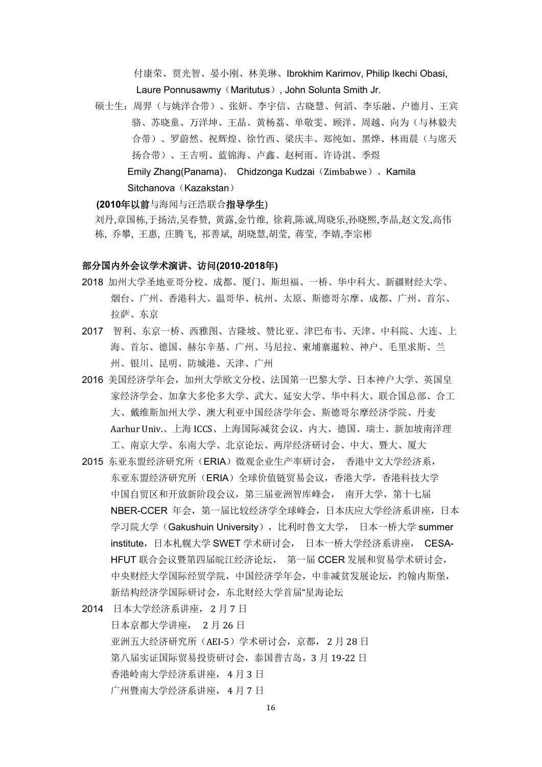付康荣、贾光智、晏小刚、林美琳、Ibrokhim Karimov, Philip Ikechi Obasi, Laure Ponnusawmy (Maritutus), John Solunta Smith Jr.

硕士生:周羿(与姚洋合带)、张妍、李宇信、古晓慧、何滔、李乐融、户德月、王宾 骆、苏晓童、万洋坤、王晶、黄杨荔、单敬雯、顾洋、周越、向为(与林毅夫 合带)、罗蔚然、祝辉煌、徐竹西、梁庆丰、郑纯如、黑烨、林雨晨(与席天 扬合带)、王吉明、蓝锦海、卢鑫、赵柯雨、许诗淇、季煜 Emily Zhang(Panama)、 Chidzonga Kudzai(Zimbabwe)、Kamila

Sitchanova (Kazakstan)

#### **(2010**年以前与海闻与汪浩联合指导学生)

刘丹,章国栋,于扬洁,吴春赞, 黄露,金竹维, 徐莉,陈诚,周晓乐,孙晓熙,李晶,赵文发,高伟 栋, 乔攀, 王惠, 庄腾飞, 祁善斌, 胡晓慧,胡莹, 蒋莹, 李婧,李宗彬

# 部分国内外会议学术演讲、访问**(2010-2018**年**)**

- 2018 加州大学圣地亚哥分校、成都、厦门、斯坦福、一桥、华中科大、新疆财经大学、 烟台、广州、香港科大、温哥华、杭州、太原、斯德哥尔摩、成都、广州、首尔、 拉萨、东京
- 2017 智利、东京一桥、西雅图、吉隆坡、赞比亚、津巴布韦、天津、中科院、大连、上 海、首尔、德国、赫尔辛基、广州、马尼拉、柬埔寨暹粒、神户、毛里求斯、兰 州、银川、昆明、防城港、天津、广州
- 2016 美国经济学年会,加州大学欧文分校、法国第一巴黎大学、日本神户大学、英国皇 家经济学会、加拿大多伦多大学、武大、延安大学、华中科大、联合国总部、合工 大、戴维斯加州大学、澳大利亚中国经济学年会、斯德哥尔摩经济学院、丹麦 Aarhur Univ.、上海 ICCS、上海国际减贫会议、内大、德国、瑞士、新加坡南洋理 工、南京大学、东南大学、北京论坛、两岸经济研讨会、中大、暨大、厦大
- 2015 东亚东盟经济研究所(ERIA)微观企业生产率研讨会, 香港中文大学经济系, 东亚东盟经济研究所(ERIA)全球价值链贸易会议,香港大学,香港科技大学 中国自贸区和开放新阶段会议,第三届亚洲智库峰会, 南开大学,第十七届 NBER-CCER 年会,第一届比较经济学全球峰会,日本庆应大学经济系讲座,日本 学习院大学(Gakushuin University),比利时鲁文大学, 日本一桥大学 summer institute,日本札幌大学 SWET 学术研讨会, 日本一桥大学经济系讲座, CESA-HFUT 联合会议暨第四届皖江经济论坛, 第一届 CCER 发展和贸易学术研讨会, 中央财经大学国际经贸学院,中国经济学年会,中非减贫发展论坛,约翰内斯堡, 新结构经济学国际研讨会,东北财经大学首届"星海论坛
- 2014 日本大学经济系讲座, 2 月 7 日 日本京都大学讲座, 2 月 26 日 亚洲五大经济研究所(AEI-5)学术研讨会,京都, 2 月 28 日 第八届实证国际贸易投资研讨会,泰国普吉岛,3 月 19-22 日 香港岭南大学经济系讲座, 4 月 3 日 广州暨南大学经济系讲座, 4 月 7 日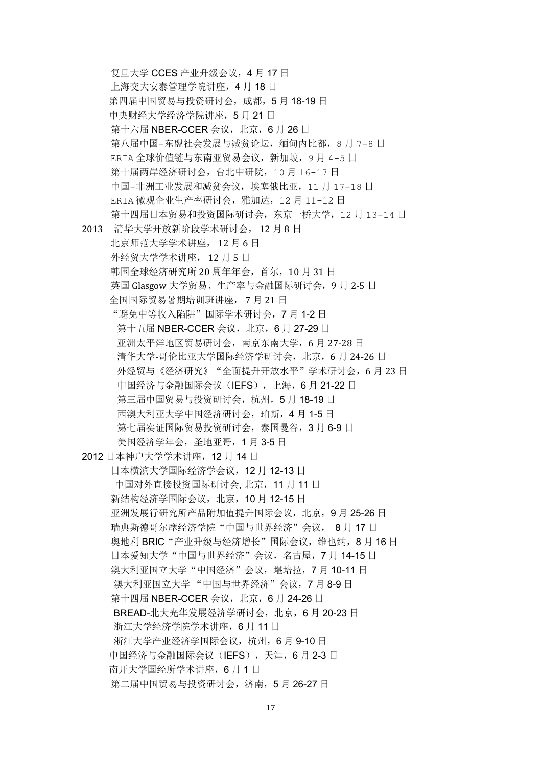复旦大学 CCES 产业升级会议,4 月 17 日 上海交大安泰管理学院讲座,4 月 18 日 第四届中国贸易与投资研讨会,成都,5 月 18-19 日 中央财经大学经济学院讲座,5 月 21 日 第十六届 NBER-CCER 会议, 北京, 6月 26 日 第八届中国-东盟社会发展与减贫论坛,缅甸内比都,8月 7-8 日 ERIA 全球价值链与东南亚贸易会议,新加坡,9 月 4-5 日 第十届两岸经济研讨会,台北中研院,10 月 16-17 日 中国-非洲工业发展和减贫会议,埃塞俄比亚,11 月 17-18 日 ERIA 微观企业生产率研讨会,雅加达,12 月 11-12 日 第十四届日本贸易和投资国际研讨会,东京一桥大学,12 月 13-14 日 2013 清华大学开放新阶段学术研讨会, 12 月 8 日 北京师范大学学术讲座, 12 月 6 日 外经贸大学学术讲座, 12 月 5 日 韩国全球经济研究所 20 周年年会,首尔,10 月 31 日 英国 Glasgow 大学贸易、生产率与金融国际研讨会,9 月 2-5 日 全国国际贸易暑期培训班讲座, 7 月 21 日 "避免中等收入陷阱"国际学术研讨会,7 月 1-2 日 第十五届 NBER-CCER 会议, 北京, 6月 27-29 日 亚洲太平洋地区贸易研讨会,南京东南大学,6 月 27-28 日 清华大学-哥伦比亚大学国际经济学研讨会,北京,6 月 24-26 日 外经贸与《经济研究》"全面提升开放水平"学术研讨会,6月23日 中国经济与金融国际会议(IEFS), 上海, 6月 21-22 日 第三届中国贸易与投资研讨会,杭州,5月18-19日 西澳大利亚大学中国经济研讨会,珀斯,4月1-5日 第七届实证国际贸易投资研讨会,泰国曼谷,3月6-9日 美国经济学年会,圣地亚哥,1 月 3-5 日 2012 日本神户大学学术讲座,12 月 14 日 日本横滨大学国际经济学会议,12 月 12-13 日 [中国对外直接投资国际研讨会](http://www.nsd.edu.cn/cn/article.asp?articleid=16499), 北京,11 月 11 日 新结构经济学国际会议, 北京, 10 月 12-15 日 亚洲发展行研究所产品附加值提升国际会议,北京,9 月 25-26 日 瑞典斯德哥尔摩经济学院"中国与世界经济"会议, 8月17日 奥地利 BRIC "产业升级与经济增长"国际会议,维也纳, 8月 16 日 日本爱知大学"中国与世界经济"会议,名古屋, 7 月 14-15 日 澳大利亚国立大学"中国经济"会议, 堪培拉, 7 月 10-11 日 澳大利亚国立大学 "中国与世界经济"会议,7 月 8-9 日 第十四届 NBER-CCER 会议, 北京, 6 月 24-26 日 BREAD-北大光华发展经济学研讨会,北京,6 月 20-23 日 浙江大学经济学院学术讲座,6 月 11 日 浙江大学产业经济学国际会议,杭州,6 月 9-10 日 中国经济与金融国际会议(IEFS), 天津, 6月 2-3 日 南开大学国经所学术讲座,6 月 1 日 第二届中国贸易与投资研讨会,济南,5 月 26-27 日